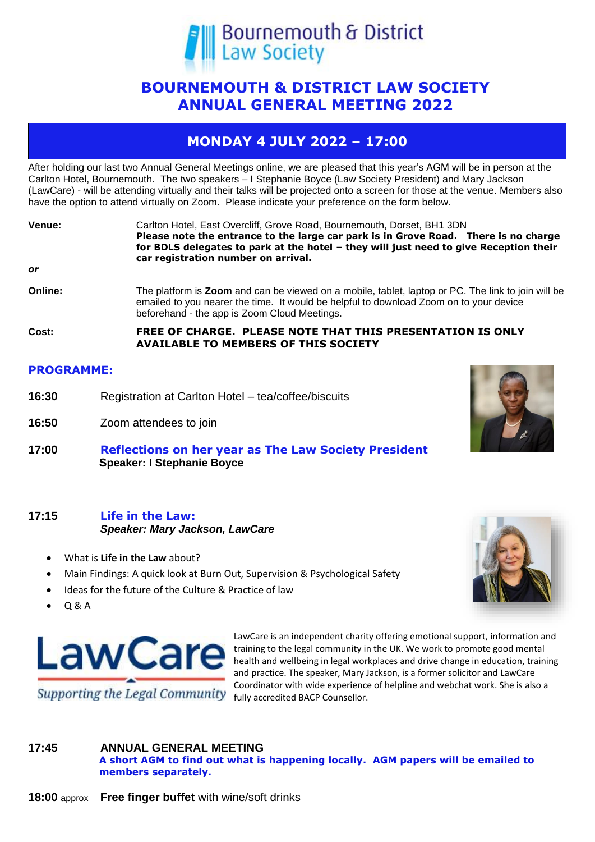

# **BOURNEMOUTH & DISTRICT LAW SOCIETY ANNUAL GENERAL MEETING 2022**

# **MONDAY 4 JULY 2022 – 17:00**

After holding our last two Annual General Meetings online, we are pleased that this year's AGM will be in person at the Carlton Hotel, Bournemouth. The two speakers – I Stephanie Boyce (Law Society President) and Mary Jackson (LawCare) - will be attending virtually and their talks will be projected onto a screen for those at the venue. Members also have the option to attend virtually on Zoom. Please indicate your preference on the form below.

| Venue:  | Carlton Hotel, East Overcliff, Grove Road, Bournemouth, Dorset, BH1 3DN<br>Please note the entrance to the large car park is in Grove Road. There is no charge<br>for BDLS delegates to park at the hotel - they will just need to give Reception their<br>car registration number on arrival. |
|---------|------------------------------------------------------------------------------------------------------------------------------------------------------------------------------------------------------------------------------------------------------------------------------------------------|
| or      |                                                                                                                                                                                                                                                                                                |
| Online: | The platform is <b>Zoom</b> and can be viewed on a mobile, tablet, laptop or PC. The link to join will be<br>emailed to you nearer the time. It would be helpful to download Zoom on to your device<br>beforehand - the app is Zoom Cloud Meetings.                                            |
| Cost:   | FREE OF CHARGE. PLEASE NOTE THAT THIS PRESENTATION IS ONLY<br><b>AVAILABLE TO MEMBERS OF THIS SOCIETY</b>                                                                                                                                                                                      |

### **PROGRAMME:**

- **16:30** Registration at Carlton Hotel tea/coffee/biscuits
- **16:50** Zoom attendees to join
- **17:00 Reflections on her year as The Law Society President Speaker: I Stephanie Boyce**

## **17:15 Life in the Law:** *Speaker: Mary Jackson, LawCare*

- What is **Life in the Law** about?
- Main Findings: A quick look at Burn Out, Supervision & Psychological Safety
- Ideas for the future of the Culture & Practice of law
- Q & A



LawCare is an independent charity offering emotional support, information and training to the legal community in the UK. We work to promote good mental health and wellbeing in legal workplaces and drive change in education, training and practice. The speaker, Mary Jackson, is a former solicitor and LawCare Coordinator with wide experience of helpline and webchat work. She is also a fully accredited BACP Counsellor.

## **17:45 ANNUAL GENERAL MEETING**

**A short AGM to find out what is happening locally. AGM papers will be emailed to members separately.**